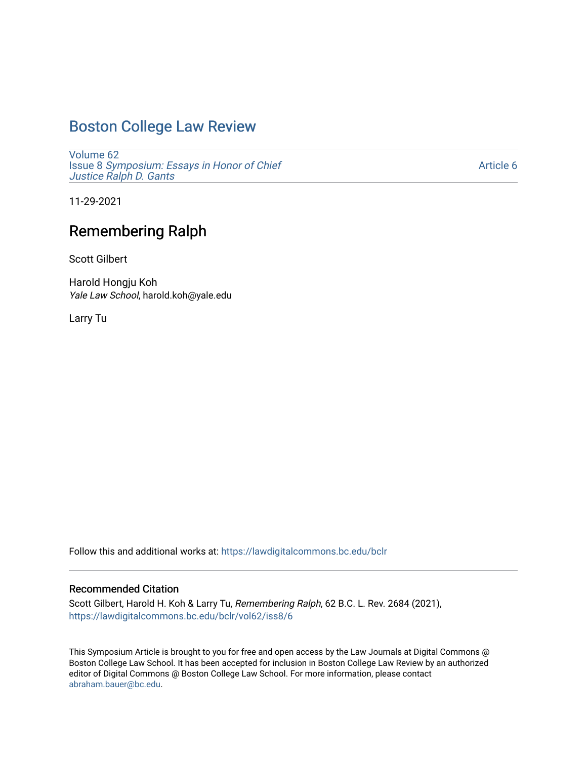## [Boston College Law Review](https://lawdigitalcommons.bc.edu/bclr)

[Volume 62](https://lawdigitalcommons.bc.edu/bclr/vol62) Issue 8 [Symposium: Essays in Honor of Chief](https://lawdigitalcommons.bc.edu/bclr/vol62/iss8)  [Justice Ralph D. Gants](https://lawdigitalcommons.bc.edu/bclr/vol62/iss8) 

[Article 6](https://lawdigitalcommons.bc.edu/bclr/vol62/iss8/6) 

11-29-2021

# Remembering Ralph

Scott Gilbert

Harold Hongju Koh Yale Law School, harold.koh@yale.edu

Larry Tu

Follow this and additional works at: [https://lawdigitalcommons.bc.edu/bclr](https://lawdigitalcommons.bc.edu/bclr?utm_source=lawdigitalcommons.bc.edu%2Fbclr%2Fvol62%2Fiss8%2F6&utm_medium=PDF&utm_campaign=PDFCoverPages) 

### Recommended Citation

Scott Gilbert, Harold H. Koh & Larry Tu, Remembering Ralph, 62 B.C. L. Rev. 2684 (2021), [https://lawdigitalcommons.bc.edu/bclr/vol62/iss8/6](https://lawdigitalcommons.bc.edu/bclr/vol62/iss8/6?utm_source=lawdigitalcommons.bc.edu%2Fbclr%2Fvol62%2Fiss8%2F6&utm_medium=PDF&utm_campaign=PDFCoverPages) 

This Symposium Article is brought to you for free and open access by the Law Journals at Digital Commons @ Boston College Law School. It has been accepted for inclusion in Boston College Law Review by an authorized editor of Digital Commons @ Boston College Law School. For more information, please contact [abraham.bauer@bc.edu.](mailto:abraham.bauer@bc.edu)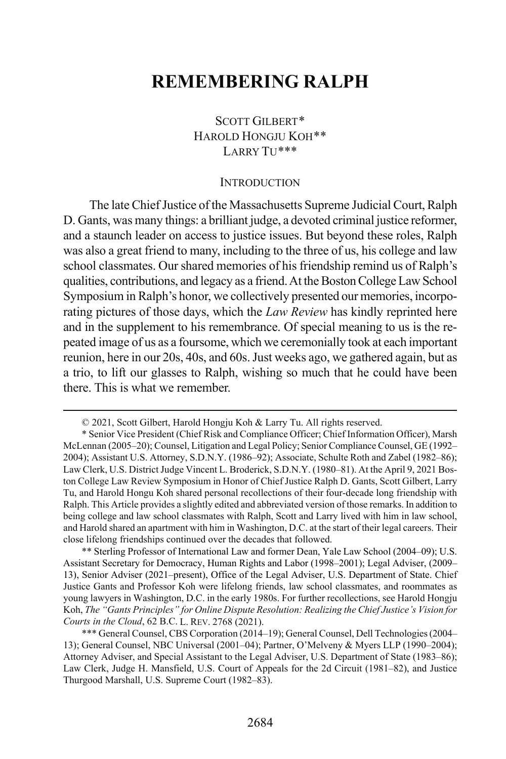## **REMEMBERING RALPH**

## SCOTT GILBERT[\\*](#page-1-0) HAROLD HONGJU KOH[\\*\\*](#page-1-1) LARRY TU[\\*\\*\\*](#page-1-2)

#### **INTRODUCTION**

The late Chief Justice of the Massachusetts Supreme Judicial Court, Ralph D. Gants, was many things: a brilliant judge, a devoted criminal justice reformer, and a staunch leader on access to justice issues. But beyond these roles, Ralph was also a great friend to many, including to the three of us, his college and law school classmates. Our shared memories of his friendship remind us of Ralph's qualities, contributions, and legacy as a friend.At the Boston College Law School Symposium in Ralph's honor, we collectively presented our memories, incorporating pictures of those days, which the *Law Review* has kindly reprinted here and in the supplement to his remembrance. Of special meaning to us is the repeated image of us as a foursome, which we ceremonially took at each important reunion, here in our 20s, 40s, and 60s. Just weeks ago, we gathered again, but as a trio, to lift our glasses to Ralph, wishing so much that he could have been there. This is what we remember.

<span id="page-1-1"></span>\*\* Sterling Professor of International Law and former Dean, Yale Law School (2004–09); U.S. Assistant Secretary for Democracy, Human Rights and Labor (1998–2001); Legal Adviser, (2009– 13), Senior Adviser (2021–present), Office of the Legal Adviser, U.S. Department of State. Chief Justice Gants and Professor Koh were lifelong friends, law school classmates, and roommates as young lawyers in Washington, D.C. in the early 1980s. For further recollections, see Harold Hongju Koh, *The "Gants Principles" for Online Dispute Resolution: Realizing the Chief Justice's Vision for Courts in the Cloud*, 62 B.C. L. REV. 2768 (2021).

 <sup>© 2021,</sup> Scott Gilbert, Harold Hongju Koh & Larry Tu. All rights reserved.

<span id="page-1-0"></span><sup>\*</sup> Senior Vice President (Chief Risk and Compliance Officer; Chief Information Officer), Marsh McLennan (2005–20); Counsel, Litigation and Legal Policy; Senior Compliance Counsel, GE (1992– 2004); Assistant U.S. Attorney, S.D.N.Y. (1986–92); Associate, Schulte Roth and Zabel (1982–86); Law Clerk, U.S. District Judge Vincent L. Broderick, S.D.N.Y. (1980–81). At the April 9, 2021 Boston College Law Review Symposium in Honor of Chief Justice Ralph D. Gants, Scott Gilbert, Larry Tu, and Harold Hongu Koh shared personal recollections of their four-decade long friendship with Ralph. This Article provides a slightly edited and abbreviated version of those remarks. In addition to being college and law school classmates with Ralph, Scott and Larry lived with him in law school, and Harold shared an apartment with him in Washington, D.C. at the start of their legal careers. Their close lifelong friendships continued over the decades that followed.

<span id="page-1-2"></span><sup>\*\*\*</sup> General Counsel, CBS Corporation (2014–19); General Counsel, Dell Technologies(2004– 13); General Counsel, NBC Universal (2001–04); Partner, O'Melveny & Myers LLP (1990–2004); Attorney Adviser, and Special Assistant to the Legal Adviser, U.S. Department of State (1983–86); Law Clerk, Judge H. Mansfield, U.S. Court of Appeals for the 2d Circuit (1981–82), and Justice Thurgood Marshall, U.S. Supreme Court (1982–83).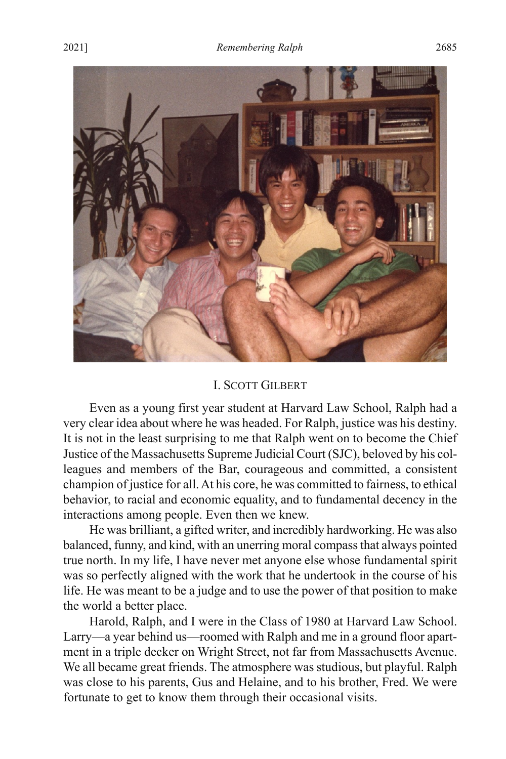

#### I. SCOTT GILBERT

Even as a young first year student at Harvard Law School, Ralph had a very clear idea about where he was headed. For Ralph, justice was his destiny. It is not in the least surprising to me that Ralph went on to become the Chief Justice of the Massachusetts Supreme Judicial Court (SJC), beloved by his colleagues and members of the Bar, courageous and committed, a consistent champion of justice for all. At his core, he was committed to fairness, to ethical behavior, to racial and economic equality, and to fundamental decency in the interactions among people. Even then we knew.

He was brilliant, a gifted writer, and incredibly hardworking. He was also balanced, funny, and kind, with an unerring moral compass that always pointed true north. In my life, I have never met anyone else whose fundamental spirit was so perfectly aligned with the work that he undertook in the course of his life. He was meant to be a judge and to use the power of that position to make the world a better place.

Harold, Ralph, and I were in the Class of 1980 at Harvard Law School. Larry—a year behind us—roomed with Ralph and me in a ground floor apartment in a triple decker on Wright Street, not far from Massachusetts Avenue. We all became great friends. The atmosphere was studious, but playful. Ralph was close to his parents, Gus and Helaine, and to his brother, Fred. We were fortunate to get to know them through their occasional visits.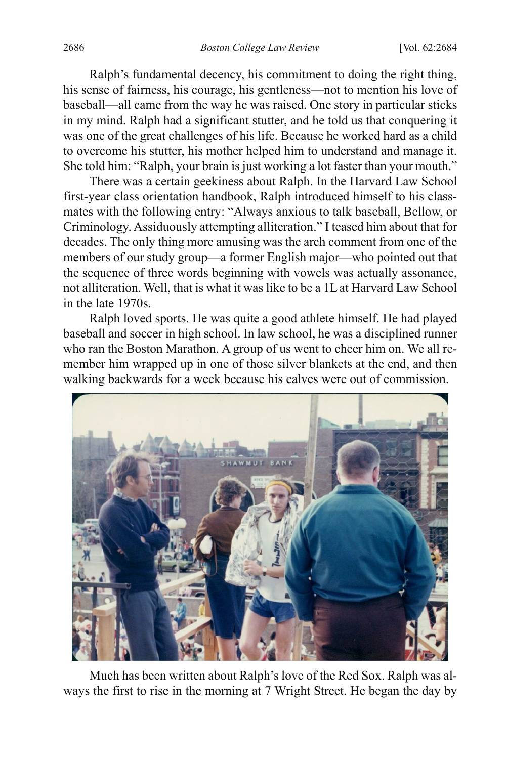Ralph's fundamental decency, his commitment to doing the right thing, his sense of fairness, his courage, his gentleness—not to mention his love of baseball—all came from the way he was raised. One story in particular sticks in my mind. Ralph had a significant stutter, and he told us that conquering it was one of the great challenges of his life. Because he worked hard as a child to overcome his stutter, his mother helped him to understand and manage it. She told him: "Ralph, your brain is just working a lot faster than your mouth."

There was a certain geekiness about Ralph. In the Harvard Law School first-year class orientation handbook, Ralph introduced himself to his classmates with the following entry: "Always anxious to talk baseball, Bellow, or Criminology. Assiduously attempting alliteration." I teased him about that for decades. The only thing more amusing was the arch comment from one of the members of our study group—a former English major—who pointed out that the sequence of three words beginning with vowels was actually assonance, not alliteration. Well, that is what it was like to be a 1L at Harvard Law School in the late 1970s.

Ralph loved sports. He was quite a good athlete himself. He had played baseball and soccer in high school. In law school, he was a disciplined runner who ran the Boston Marathon. A group of us went to cheer him on. We all remember him wrapped up in one of those silver blankets at the end, and then walking backwards for a week because his calves were out of commission.



Much has been written about Ralph's love of the Red Sox. Ralph was always the first to rise in the morning at 7 Wright Street. He began the day by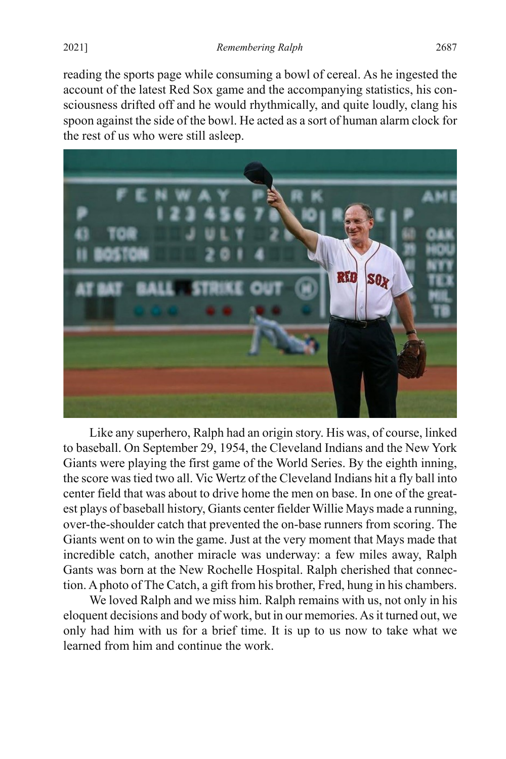reading the sports page while consuming a bowl of cereal. As he ingested the account of the latest Red Sox game and the accompanying statistics, his consciousness drifted off and he would rhythmically, and quite loudly, clang his spoon against the side of the bowl. He acted as a sort of human alarm clock for the rest of us who were still asleep.



Like any superhero, Ralph had an origin story. His was, of course, linked to baseball. On September 29, 1954, the Cleveland Indians and the New York Giants were playing the first game of the World Series. By the eighth inning, the score wastied two all. Vic Wertz of the Cleveland Indians hit a fly ball into center field that was about to drive home the men on base. In one of the greatest plays of baseball history, Giants center fielder Willie Mays made a running, over-the-shoulder catch that prevented the on-base runners from scoring. The Giants went on to win the game. Just at the very moment that Mays made that incredible catch, another miracle was underway: a few miles away, Ralph Gants was born at the New Rochelle Hospital. Ralph cherished that connection. A photo of The Catch, a gift from his brother, Fred, hung in his chambers.

We loved Ralph and we miss him. Ralph remains with us, not only in his eloquent decisions and body of work, but in our memories. As it turned out, we only had him with us for a brief time. It is up to us now to take what we learned from him and continue the work.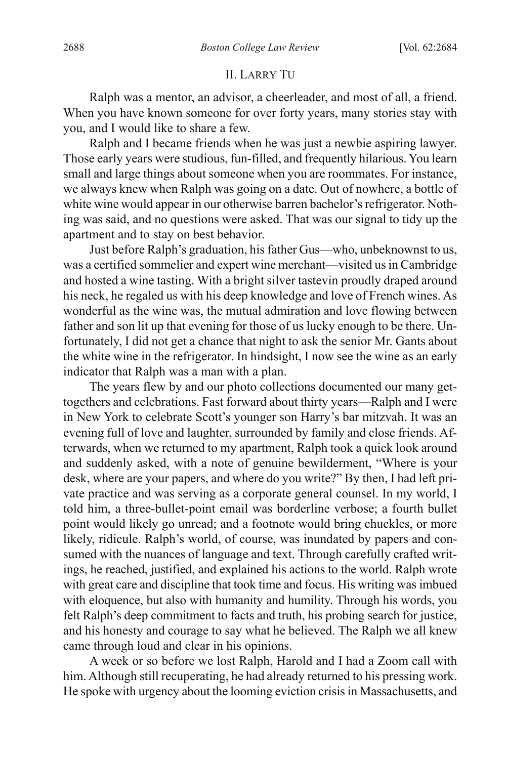#### II. LARRY TU

Ralph was a mentor, an advisor, a cheerleader, and most of all, a friend. When you have known someone for over forty years, many stories stay with you, and I would like to share a few.

Ralph and I became friends when he was just a newbie aspiring lawyer. Those early years were studious, fun-filled, and frequently hilarious. You learn small and large things about someone when you are roommates. For instance, we always knew when Ralph was going on a date. Out of nowhere, a bottle of white wine would appear in our otherwise barren bachelor's refrigerator. Nothing was said, and no questions were asked. That was our signal to tidy up the apartment and to stay on best behavior.

Just before Ralph's graduation, his father Gus—who, unbeknownst to us, was a certified sommelier and expert wine merchant—visited us in Cambridge and hosted a wine tasting. With a bright silver tastevin proudly draped around his neck, he regaled us with his deep knowledge and love of French wines. As wonderful as the wine was, the mutual admiration and love flowing between father and son lit up that evening for those of us lucky enough to be there. Unfortunately, I did not get a chance that night to ask the senior Mr. Gants about the white wine in the refrigerator. In hindsight, I now see the wine as an early indicator that Ralph was a man with a plan.

The years flew by and our photo collections documented our many gettogethers and celebrations. Fast forward about thirty years—Ralph and I were in New York to celebrate Scott's younger son Harry's bar mitzvah. It was an evening full of love and laughter, surrounded by family and close friends. Afterwards, when we returned to my apartment, Ralph took a quick look around and suddenly asked, with a note of genuine bewilderment, "Where is your desk, where are your papers, and where do you write?" By then, I had left private practice and was serving as a corporate general counsel. In my world, I told him, a three-bullet-point email was borderline verbose; a fourth bullet point would likely go unread; and a footnote would bring chuckles, or more likely, ridicule. Ralph's world, of course, was inundated by papers and consumed with the nuances of language and text. Through carefully crafted writings, he reached, justified, and explained his actions to the world. Ralph wrote with great care and discipline that took time and focus. His writing was imbued with eloquence, but also with humanity and humility. Through his words, you felt Ralph's deep commitment to facts and truth, his probing search for justice, and his honesty and courage to say what he believed. The Ralph we all knew came through loud and clear in his opinions.

A week or so before we lost Ralph, Harold and I had a Zoom call with him. Although still recuperating, he had already returned to his pressing work. He spoke with urgency about the looming eviction crisis in Massachusetts, and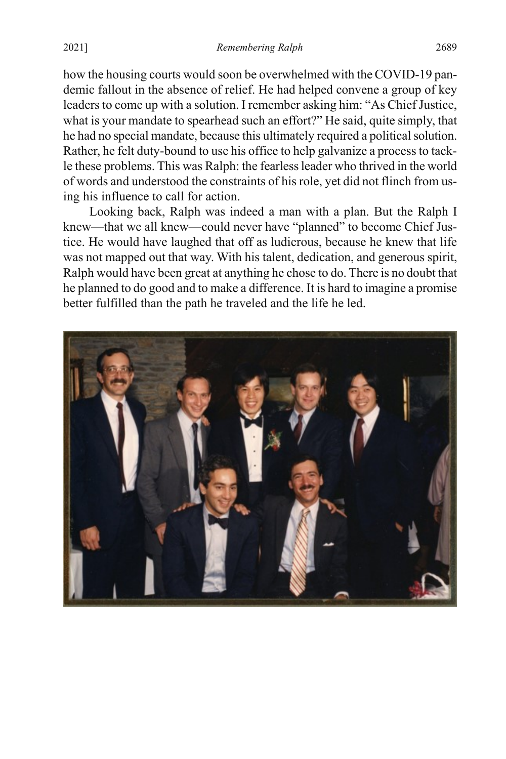how the housing courts would soon be overwhelmed with the COVID-19 pandemic fallout in the absence of relief. He had helped convene a group of key leaders to come up with a solution. I remember asking him: "As Chief Justice, what is your mandate to spearhead such an effort?" He said, quite simply, that he had no special mandate, because this ultimately required a political solution. Rather, he felt duty-bound to use his office to help galvanize a process to tackle these problems. This was Ralph: the fearless leader who thrived in the world of words and understood the constraints of his role, yet did not flinch from using his influence to call for action.

Looking back, Ralph was indeed a man with a plan. But the Ralph I knew—that we all knew—could never have "planned" to become Chief Justice. He would have laughed that off as ludicrous, because he knew that life was not mapped out that way. With his talent, dedication, and generous spirit, Ralph would have been great at anything he chose to do. There is no doubt that he planned to do good and to make a difference. It is hard to imagine a promise better fulfilled than the path he traveled and the life he led.

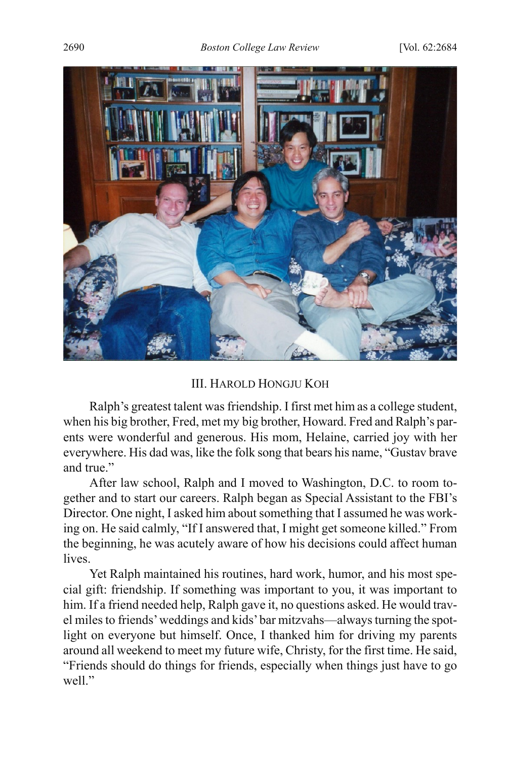

## III. HAROLD HONGJU KOH

Ralph's greatest talent was friendship. I first met him as a college student, when his big brother, Fred, met my big brother, Howard. Fred and Ralph's parents were wonderful and generous. His mom, Helaine, carried joy with her everywhere. His dad was, like the folk song that bears his name, "Gustav brave and true."

After law school, Ralph and I moved to Washington, D.C. to room together and to start our careers. Ralph began as Special Assistant to the FBI's Director. One night, I asked him about something that I assumed he was working on. He said calmly, "If I answered that, I might get someone killed." From the beginning, he was acutely aware of how his decisions could affect human lives.

Yet Ralph maintained his routines, hard work, humor, and his most special gift: friendship. If something was important to you, it was important to him. If a friend needed help, Ralph gave it, no questions asked. He would travel miles to friends' weddings and kids' bar mitzvahs—always turning the spotlight on everyone but himself. Once, I thanked him for driving my parents around all weekend to meet my future wife, Christy, for the first time. He said, "Friends should do things for friends, especially when things just have to go well."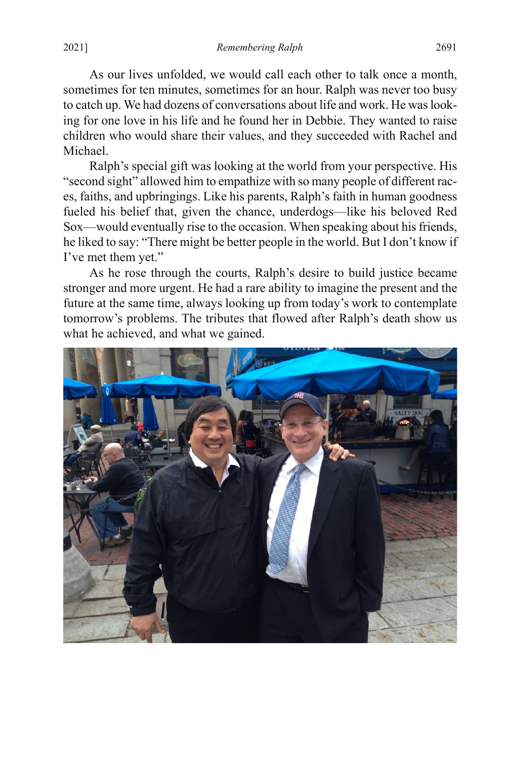As our lives unfolded, we would call each other to talk once a month, sometimes for ten minutes, sometimes for an hour. Ralph was never too busy to catch up. We had dozens of conversations about life and work. He was looking for one love in his life and he found her in Debbie. They wanted to raise children who would share their values, and they succeeded with Rachel and Michael.

Ralph's special gift was looking at the world from your perspective. His "second sight" allowed him to empathize with so many people of different races, faiths, and upbringings. Like his parents, Ralph's faith in human goodness fueled his belief that, given the chance, underdogs—like his beloved Red Sox—would eventually rise to the occasion. When speaking about his friends, he liked to say: "There might be better people in the world. But I don't know if I've met them yet."

As he rose through the courts, Ralph's desire to build justice became stronger and more urgent. He had a rare ability to imagine the present and the future at the same time, always looking up from today's work to contemplate tomorrow's problems. The tributes that flowed after Ralph's death show us what he achieved, and what we gained.